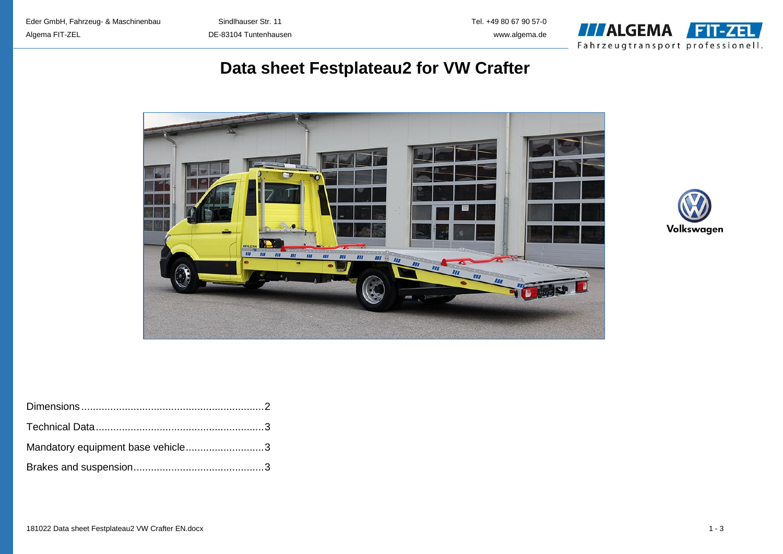

## **Data sheet Festplateau2 for VW Crafter**





| Mandatory equipment base vehicle3 |  |
|-----------------------------------|--|
|                                   |  |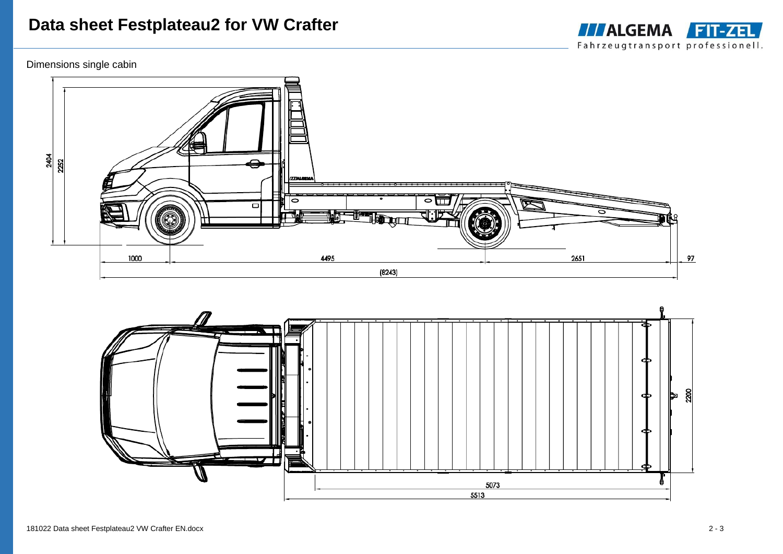# **Data sheet Festplateau2 for VW Crafter**









**THALGEMA FIT-ZEL** Fahrzeugtransport professionell.